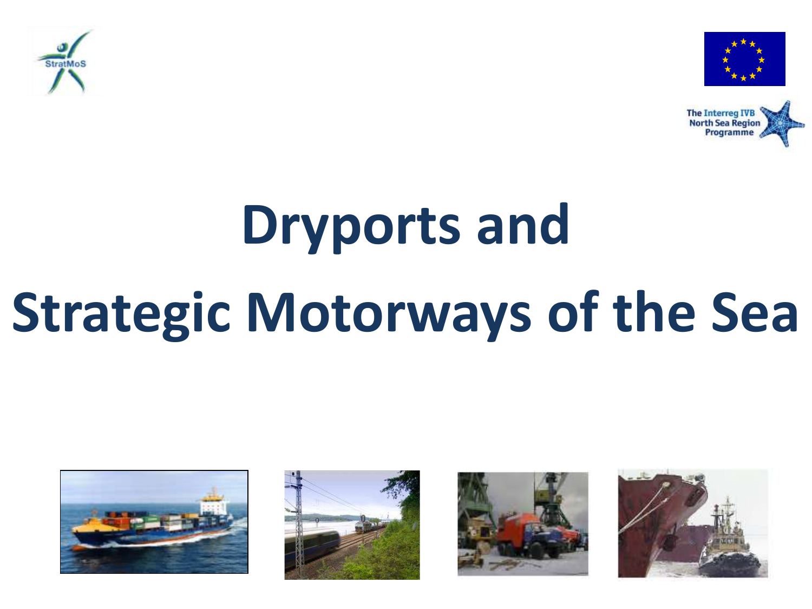





# **Dryports and Strategic Motorways of the Sea**







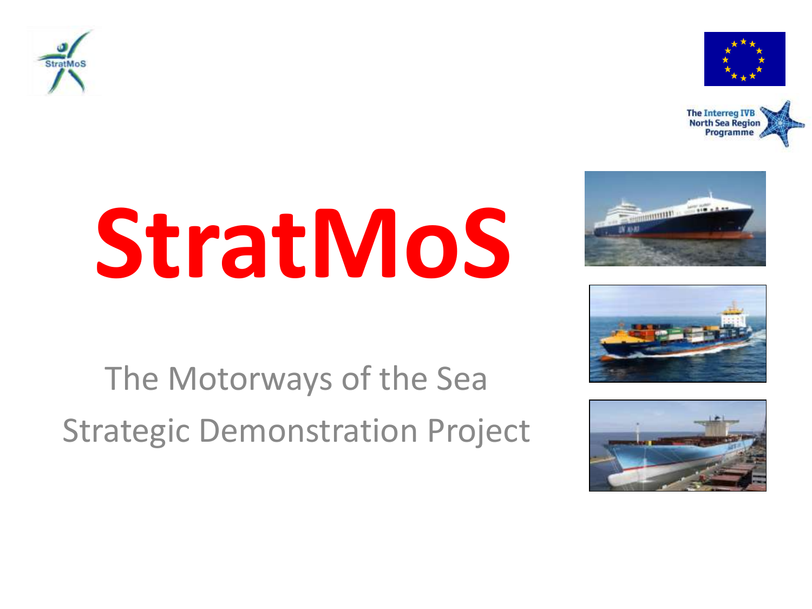











The Motorways of the Sea Strategic Demonstration Project

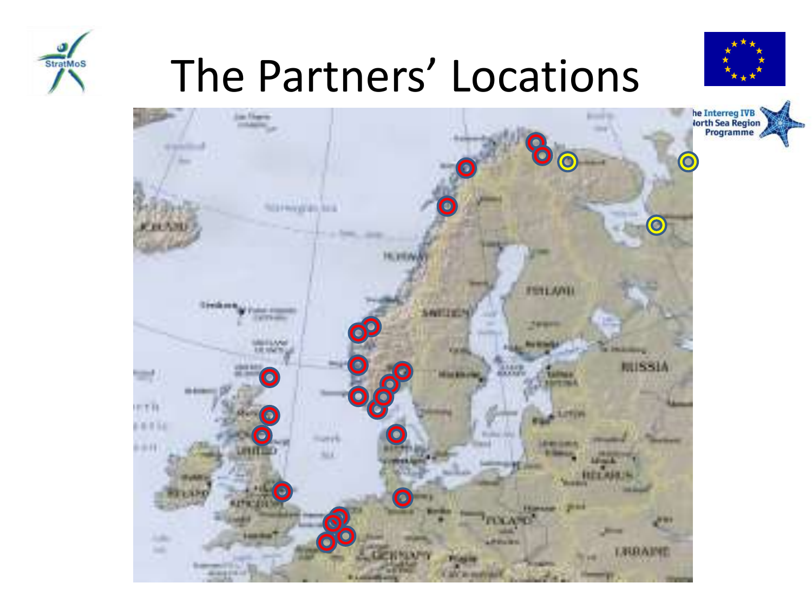

## The Partners' Locations



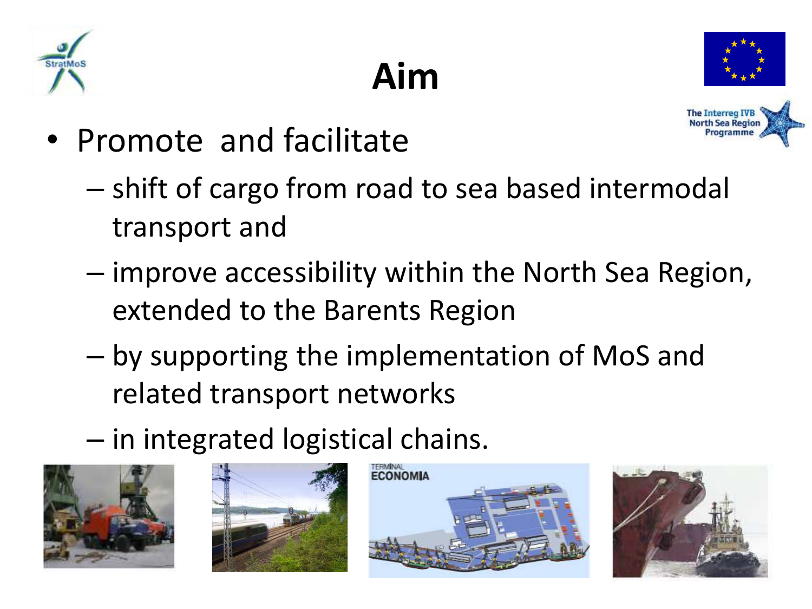



**The Interreg IVB**<br>North Sea Region Programme

- Promote and facilitate
	- shift of cargo from road to sea based intermodal transport and

**Aim**

- improve accessibility within the North Sea Region, extended to the Barents Region
- by supporting the implementation of MoS and related transport networks
- in integrated logistical chains.







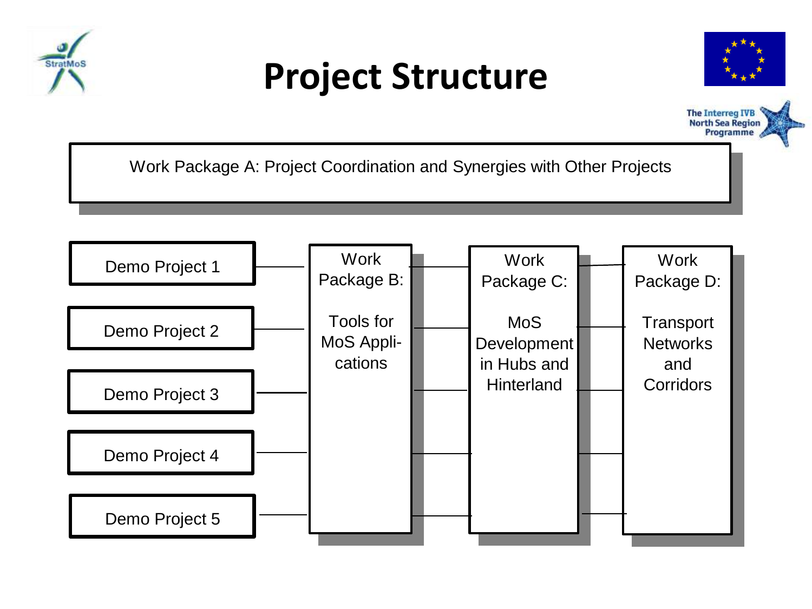

#### **Project Structure**





Work Package A: Project Coordination and Synergies with Other Projects

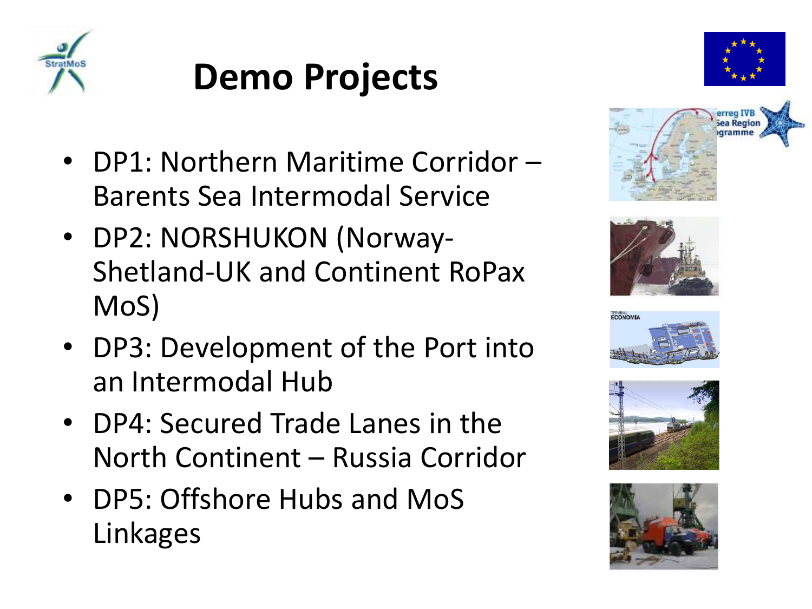

#### **Demo Projects**

- DP1: Northern Maritime Corridor Barents Sea Intermodal Service
- DP2: NORSHUKON (Norway-Shetland-UK and Continent RoPax MoS)
- DP3: Development of the Port into an Intermodal Hub
- DP4: Secured Trade Lanes in the North Continent – Russia Corridor
- DP5: Offshore Hubs and MoS Linkages











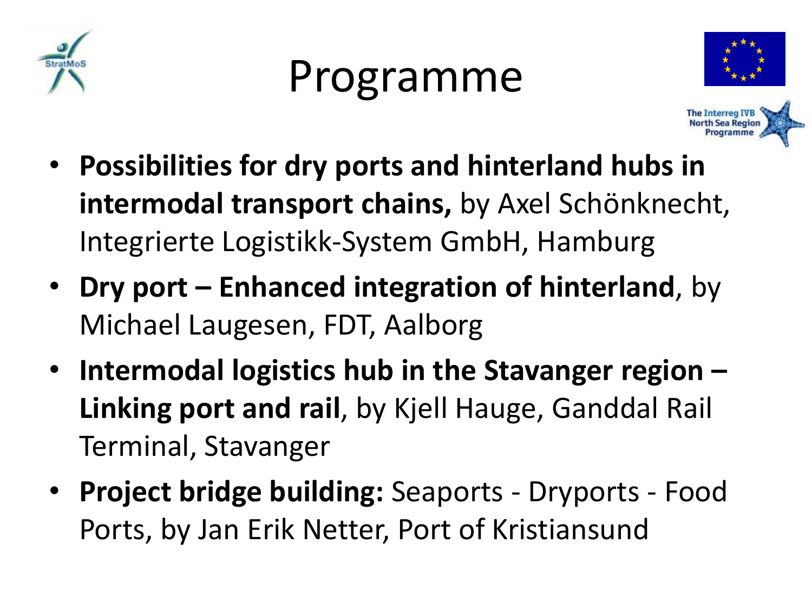

### Programme





- **Possibilities for dry ports and hinterland hubs in intermodal transport chains,** by Axel Schönknecht, Integrierte Logistikk-System GmbH, Hamburg
- **Dry port – Enhanced integration of hinterland**, by Michael Laugesen, FDT, Aalborg
- **Intermodal logistics hub in the Stavanger region – Linking port and rail**, by Kjell Hauge, Ganddal Rail Terminal, Stavanger
- **Project bridge building:** Seaports Dryports Food Ports, by Jan Erik Netter, Port of Kristiansund